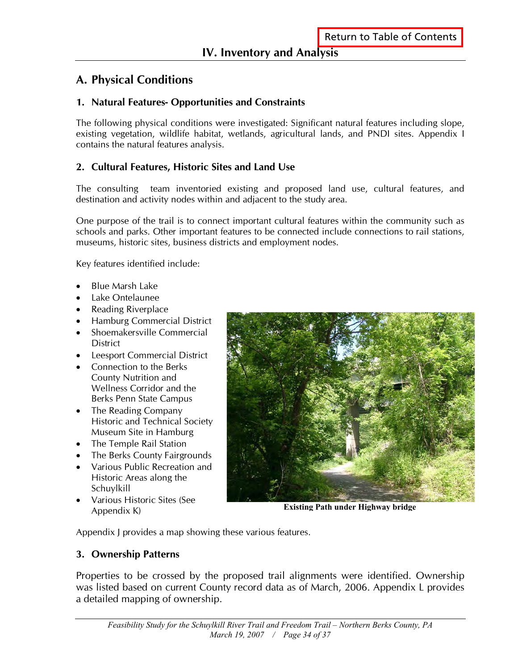# **A. Physical Conditions**

#### **1. Natural Features- Opportunities and Constraints**

The following physical conditions were investigated: Significant natural features including slope, existing vegetation, wildlife habitat, wetlands, agricultural lands, and PNDI sites. Appendix I contains the natural features analysis.

#### **2. Cultural Features, Historic Sites and Land Use**

The consulting team inventoried existing and proposed land use, cultural features, and destination and activity nodes within and adjacent to the study area.

One purpose of the trail is to connect important cultural features within the community such as schools and parks. Other important features to be connected include connections to rail stations, museums, historic sites, business districts and employment nodes.

Key features identified include:

- Blue Marsh Lake
- Lake Ontelaunee
- Reading Riverplace
- Hamburg Commercial District
- Shoemakersville Commercial **District**
- Leesport Commercial District
- Connection to the Berks County Nutrition and Wellness Corridor and the Berks Penn State Campus
- The Reading Company Historic and Technical Society Museum Site in Hamburg
- The Temple Rail Station
- The Berks County Fairgrounds
- Various Public Recreation and Historic Areas along the Schuylkill
- Various Historic Sites (See Appendix K)



**Existing Path under Highway bridge**

Appendix J provides a map showing these various features.

#### **3. Ownership Patterns**

Properties to be crossed by the proposed trail alignments were identified. Ownership was listed based on current County record data as of March, 2006. Appendix L provides a detailed mapping of ownership.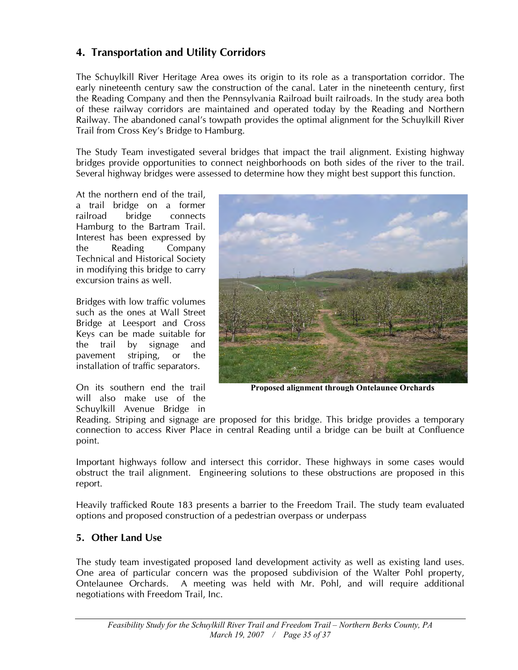#### **4. Transportation and Utility Corridors**

The Schuylkill River Heritage Area owes its origin to its role as a transportation corridor. The early nineteenth century saw the construction of the canal. Later in the nineteenth century, first the Reading Company and then the Pennsylvania Railroad built railroads. In the study area both of these railway corridors are maintained and operated today by the Reading and Northern Railway. The abandoned canal's towpath provides the optimal alignment for the Schuylkill River Trail from Cross Key's Bridge to Hamburg.

The Study Team investigated several bridges that impact the trail alignment. Existing highway bridges provide opportunities to connect neighborhoods on both sides of the river to the trail. Several highway bridges were assessed to determine how they might best support this function.

At the northern end of the trail, a trail bridge on a former railroad bridge connects Hamburg to the Bartram Trail. Interest has been expressed by the Reading Company Technical and Historical Society in modifying this bridge to carry excursion trains as well.

Bridges with low traffic volumes such as the ones at Wall Street Bridge at Leesport and Cross Keys can be made suitable for the trail by signage and pavement striping, or the installation of traffic separators.

On its southern end the trail will also make use of the Schuylkill Avenue Bridge in



**Proposed alignment through Ontelaunee Orchards**

Reading. Striping and signage are proposed for this bridge. This bridge provides a temporary connection to access River Place in central Reading until a bridge can be built at Confluence point.

Important highways follow and intersect this corridor. These highways in some cases would obstruct the trail alignment. Engineering solutions to these obstructions are proposed in this report.

Heavily trafficked Route 183 presents a barrier to the Freedom Trail. The study team evaluated options and proposed construction of a pedestrian overpass or underpass

#### **5. Other Land Use**

The study team investigated proposed land development activity as well as existing land uses. One area of particular concern was the proposed subdivision of the Walter Pohl property, Ontelaunee Orchards. A meeting was held with Mr. Pohl, and will require additional negotiations with Freedom Trail, Inc.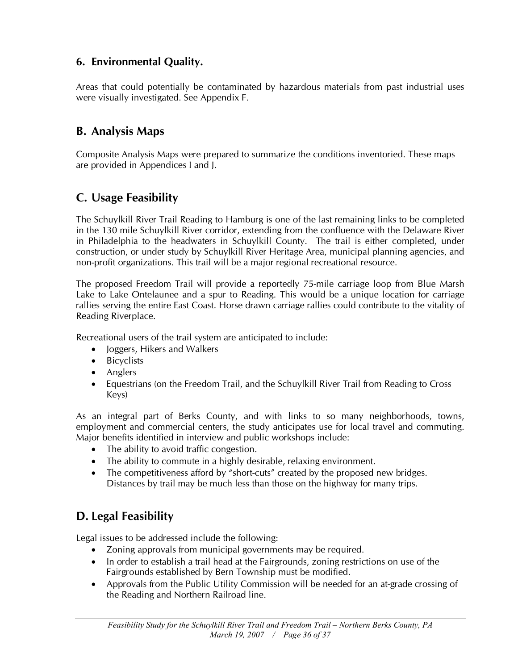### **6. Environmental Quality.**

Areas that could potentially be contaminated by hazardous materials from past industrial uses were visually investigated. See Appendix F.

## **B. Analysis Maps**

Composite Analysis Maps were prepared to summarize the conditions inventoried. These maps are provided in Appendices I and J.

# **C. Usage Feasibility**

The Schuylkill River Trail Reading to Hamburg is one of the last remaining links to be completed in the 130 mile Schuylkill River corridor, extending from the confluence with the Delaware River in Philadelphia to the headwaters in Schuylkill County. The trail is either completed, under construction, or under study by Schuylkill River Heritage Area, municipal planning agencies, and non-profit organizations. This trail will be a major regional recreational resource.

The proposed Freedom Trail will provide a reportedly 75-mile carriage loop from Blue Marsh Lake to Lake Ontelaunee and a spur to Reading. This would be a unique location for carriage rallies serving the entire East Coast. Horse drawn carriage rallies could contribute to the vitality of Reading Riverplace.

Recreational users of the trail system are anticipated to include:

- Joggers, Hikers and Walkers
- Bicyclists
- Anglers
- Equestrians (on the Freedom Trail, and the Schuylkill River Trail from Reading to Cross Keys)

As an integral part of Berks County, and with links to so many neighborhoods, towns, employment and commercial centers, the study anticipates use for local travel and commuting. Major benefits identified in interview and public workshops include:

- The ability to avoid traffic congestion.
- The ability to commute in a highly desirable, relaxing environment.
- The competitiveness afford by "short-cuts" created by the proposed new bridges. Distances by trail may be much less than those on the highway for many trips.

# **D. Legal Feasibility**

Legal issues to be addressed include the following:

- Zoning approvals from municipal governments may be required.
- In order to establish a trail head at the Fairgrounds, zoning restrictions on use of the Fairgrounds established by Bern Township must be modified.
- Approvals from the Public Utility Commission will be needed for an at-grade crossing of the Reading and Northern Railroad line.